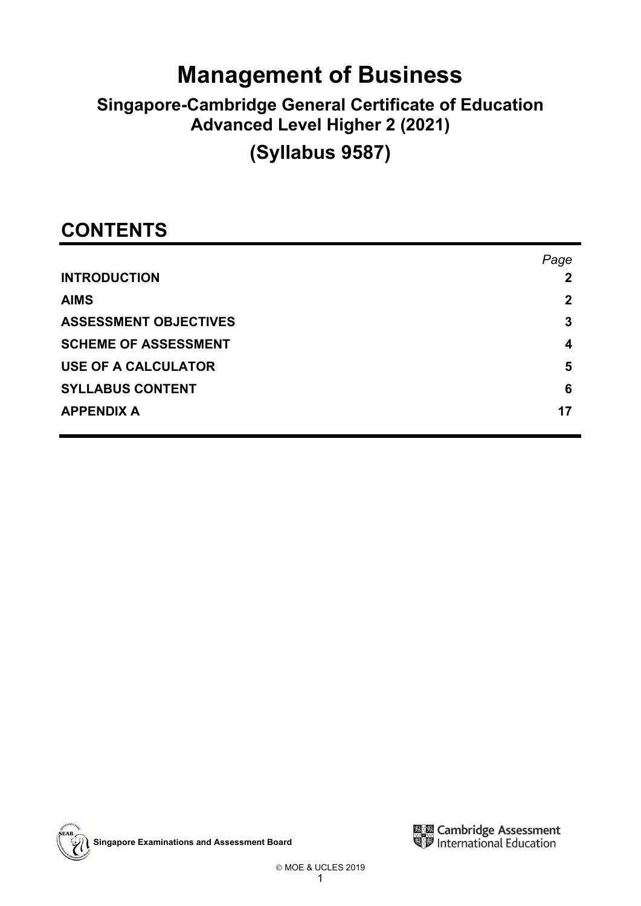# **Management of Business**

## **Singapore-Cambridge General Certificate of Education Advanced Level Higher 2 (2021)**

## **(Syllabus 9587)**

## **CONTENTS**

|                              | Page |
|------------------------------|------|
| <b>INTRODUCTION</b>          | 2    |
| <b>AIMS</b>                  | 2    |
| <b>ASSESSMENT OBJECTIVES</b> | 3    |
| <b>SCHEME OF ASSESSMENT</b>  | 4    |
| <b>USE OF A CALCULATOR</b>   | 5    |
| <b>SYLLABUS CONTENT</b>      | 6    |
| <b>APPENDIX A</b>            | 17   |



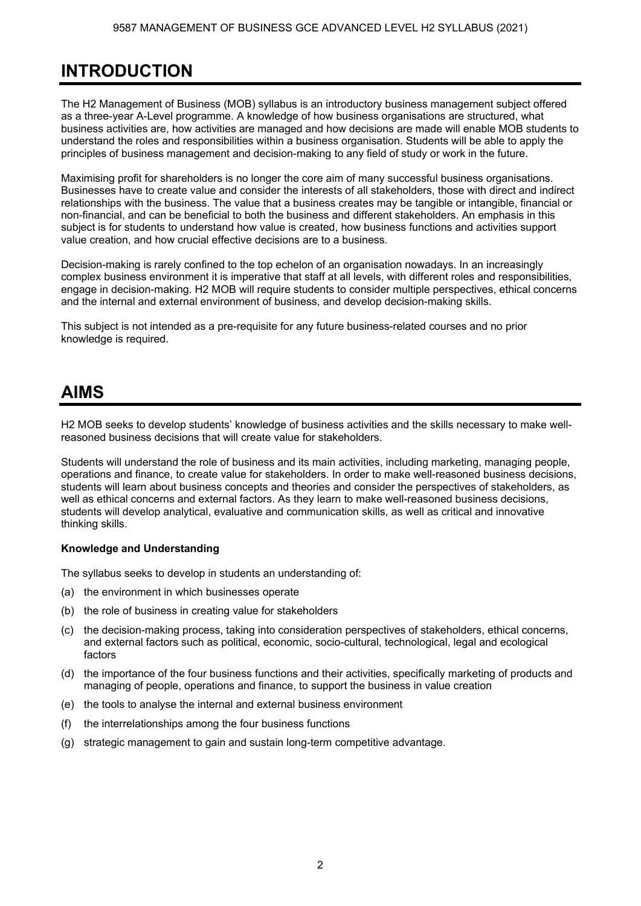## **INTRODUCTION**

The H2 Management of Business (MOB) syllabus is an introductory business management subject offered as a three-year A-Level programme. A knowledge of how business organisations are structured, what business activities are, how activities are managed and how decisions are made will enable MOB students to understand the roles and responsibilities within a business organisation. Students will be able to apply the principles of business management and decision-making to any field of study or work in the future.

Maximising profit for shareholders is no longer the core aim of many successful business organisations. Businesses have to create value and consider the interests of all stakeholders, those with direct and indirect relationships with the business. The value that a business creates may be tangible or intangible, financial or non-financial, and can be beneficial to both the business and different stakeholders. An emphasis in this subject is for students to understand how value is created, how business functions and activities support value creation, and how crucial effective decisions are to a business.

Decision-making is rarely confined to the top echelon of an organisation nowadays. In an increasingly complex business environment it is imperative that staff at all levels, with different roles and responsibilities, engage in decision-making. H2 MOB will require students to consider multiple perspectives, ethical concerns and the internal and external environment of business, and develop decision-making skills.

This subject is not intended as a pre-requisite for any future business-related courses and no prior knowledge is required.

### **AIMS**

H2 MOB seeks to develop students' knowledge of business activities and the skills necessary to make wellreasoned business decisions that will create value for stakeholders.

Students will understand the role of business and its main activities, including marketing, managing people, operations and finance, to create value for stakeholders. In order to make well-reasoned business decisions, students will learn about business concepts and theories and consider the perspectives of stakeholders, as well as ethical concerns and external factors. As they learn to make well-reasoned business decisions, students will develop analytical, evaluative and communication skills, as well as critical and innovative thinking skills.

#### **Knowledge and Understanding**

The syllabus seeks to develop in students an understanding of:

- (a) the environment in which businesses operate
- (b) the role of business in creating value for stakeholders
- (c) the decision-making process, taking into consideration perspectives of stakeholders, ethical concerns, and external factors such as political, economic, socio-cultural, technological, legal and ecological factors
- (d) the importance of the four business functions and their activities, specifically marketing of products and managing of people, operations and finance, to support the business in value creation
- (e) the tools to analyse the internal and external business environment
- (f) the interrelationships among the four business functions
- (g) strategic management to gain and sustain long-term competitive advantage.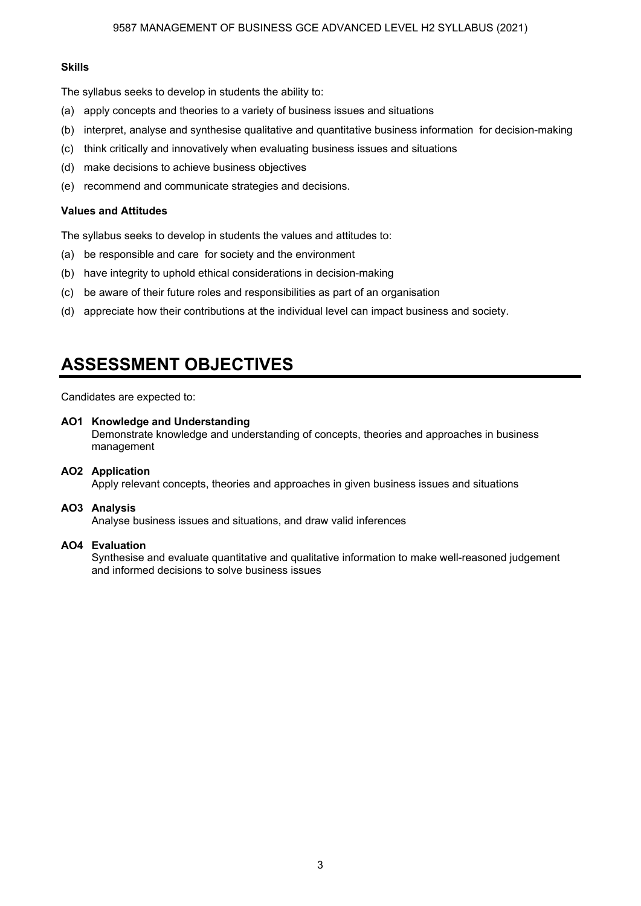#### **Skills**

The syllabus seeks to develop in students the ability to:

- (a) apply concepts and theories to a variety of business issues and situations
- (b) interpret, analyse and synthesise qualitative and quantitative business information for decision-making
- (c) think critically and innovatively when evaluating business issues and situations
- (d) make decisions to achieve business objectives
- (e) recommend and communicate strategies and decisions.

#### **Values and Attitudes**

The syllabus seeks to develop in students the values and attitudes to:

- (a) be responsible and care for society and the environment
- (b) have integrity to uphold ethical considerations in decision-making
- (c) be aware of their future roles and responsibilities as part of an organisation
- (d) appreciate how their contributions at the individual level can impact business and society.

### **ASSESSMENT OBJECTIVES**

Candidates are expected to:

#### **AO1 Knowledge and Understanding**

 Demonstrate knowledge and understanding of concepts, theories and approaches in business management

#### **AO2 Application**

Apply relevant concepts, theories and approaches in given business issues and situations

#### **AO3 Analysis**

Analyse business issues and situations, and draw valid inferences

#### **AO4 Evaluation**

 Synthesise and evaluate quantitative and qualitative information to make well-reasoned judgement and informed decisions to solve business issues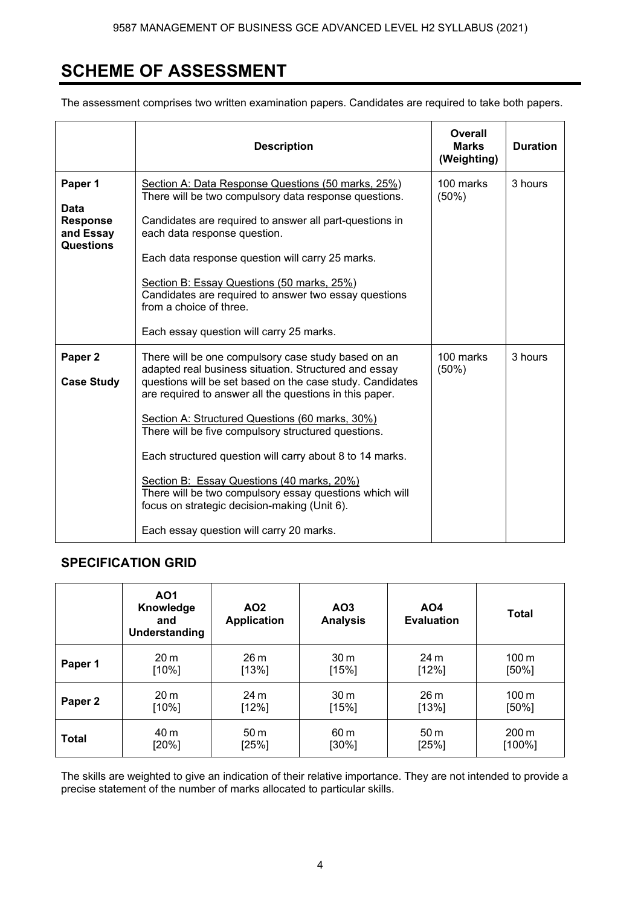### **SCHEME OF ASSESSMENT**

The assessment comprises two written examination papers. Candidates are required to take both papers.

|                                                                            | <b>Description</b>                                                                                                                                                                                                                                                                                                                                                                                                                                                                                                                                                                                              | Overall<br><b>Marks</b><br>(Weighting) | <b>Duration</b> |
|----------------------------------------------------------------------------|-----------------------------------------------------------------------------------------------------------------------------------------------------------------------------------------------------------------------------------------------------------------------------------------------------------------------------------------------------------------------------------------------------------------------------------------------------------------------------------------------------------------------------------------------------------------------------------------------------------------|----------------------------------------|-----------------|
| Paper 1<br><b>Data</b><br><b>Response</b><br>and Essay<br><b>Questions</b> | Section A: Data Response Questions (50 marks, 25%)<br>There will be two compulsory data response questions.<br>Candidates are required to answer all part-questions in<br>each data response question.<br>Each data response question will carry 25 marks.<br>Section B: Essay Questions (50 marks, 25%)<br>Candidates are required to answer two essay questions<br>from a choice of three.<br>Each essay question will carry 25 marks.                                                                                                                                                                        | 100 marks<br>(50%)                     | 3 hours         |
| Paper <sub>2</sub><br><b>Case Study</b>                                    | There will be one compulsory case study based on an<br>adapted real business situation. Structured and essay<br>questions will be set based on the case study. Candidates<br>are required to answer all the questions in this paper.<br>Section A: Structured Questions (60 marks, 30%)<br>There will be five compulsory structured questions.<br>Each structured question will carry about 8 to 14 marks.<br>Section B: Essay Questions (40 marks, 20%)<br>There will be two compulsory essay questions which will<br>focus on strategic decision-making (Unit 6).<br>Each essay question will carry 20 marks. | 100 marks<br>(50%)                     | 3 hours         |

### **SPECIFICATION GRID**

|              | AO1<br>Knowledge<br>and<br>Understanding | AO <sub>2</sub><br><b>Application</b> | AO3<br><b>Analysis</b> | <b>AO4</b><br><b>Evaluation</b> | <b>Total</b>       |
|--------------|------------------------------------------|---------------------------------------|------------------------|---------------------------------|--------------------|
| Paper 1      | 20 <sub>m</sub>                          | 26 <sub>m</sub>                       | 30 <sub>m</sub>        | 24 <sub>m</sub>                 | $100 \,\mathrm{m}$ |
|              | [10%]                                    | [13%]                                 | [15%]                  | [12%]                           | $[50\%]$           |
| Paper 2      | 20 <sub>m</sub>                          | 24 <sub>m</sub>                       | 30 <sub>m</sub>        | 26 <sub>m</sub>                 | 100 <sub>m</sub>   |
|              | [10%]                                    | [12%]                                 | [15%]                  | [13%]                           | $[50\%]$           |
| <b>Total</b> | 40 m                                     | 50 <sub>m</sub>                       | 60 <sub>m</sub>        | 50 <sub>m</sub>                 | $200 \text{ m}$    |
|              | $[20\%]$                                 | [25%]                                 | $[30\%]$               | [25%]                           | $[100\%]$          |

The skills are weighted to give an indication of their relative importance. They are not intended to provide a precise statement of the number of marks allocated to particular skills.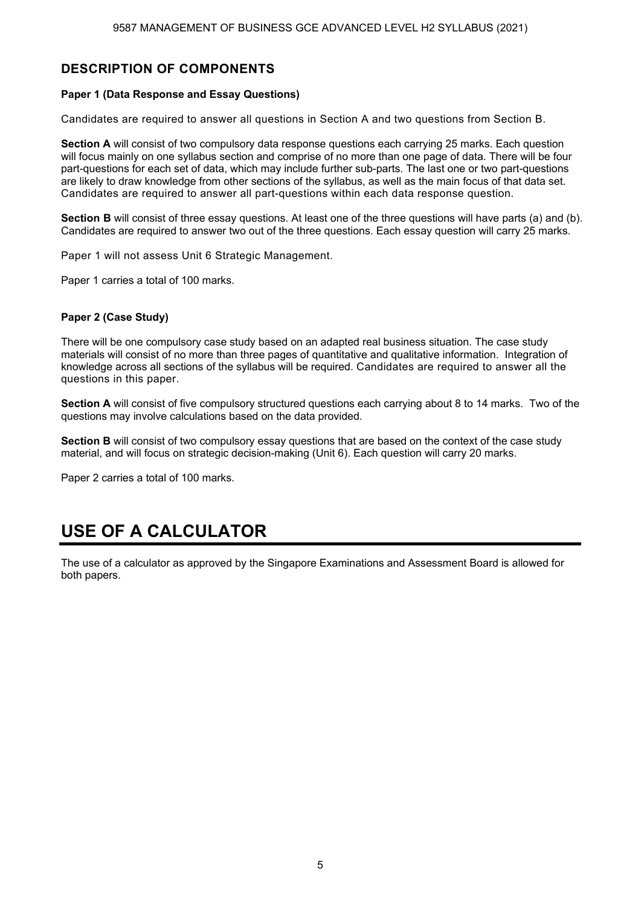### **DESCRIPTION OF COMPONENTS**

#### **Paper 1 (Data Response and Essay Questions)**

Candidates are required to answer all questions in Section A and two questions from Section B.

**Section A** will consist of two compulsory data response questions each carrying 25 marks. Each question will focus mainly on one syllabus section and comprise of no more than one page of data. There will be four part-questions for each set of data, which may include further sub-parts. The last one or two part-questions are likely to draw knowledge from other sections of the syllabus, as well as the main focus of that data set. Candidates are required to answer all part-questions within each data response question.

**Section B** will consist of three essay questions. At least one of the three questions will have parts (a) and (b). Candidates are required to answer two out of the three questions. Each essay question will carry 25 marks.

Paper 1 will not assess Unit 6 Strategic Management.

Paper 1 carries a total of 100 marks.

#### **Paper 2 (Case Study)**

There will be one compulsory case study based on an adapted real business situation. The case study materials will consist of no more than three pages of quantitative and qualitative information. Integration of knowledge across all sections of the syllabus will be required. Candidates are required to answer all the questions in this paper.

**Section A** will consist of five compulsory structured questions each carrying about 8 to 14 marks. Two of the questions may involve calculations based on the data provided.

**Section B** will consist of two compulsory essay questions that are based on the context of the case study material, and will focus on strategic decision-making (Unit 6). Each question will carry 20 marks.

Paper 2 carries a total of 100 marks.

## **USE OF A CALCULATOR**

The use of a calculator as approved by the Singapore Examinations and Assessment Board is allowed for both papers.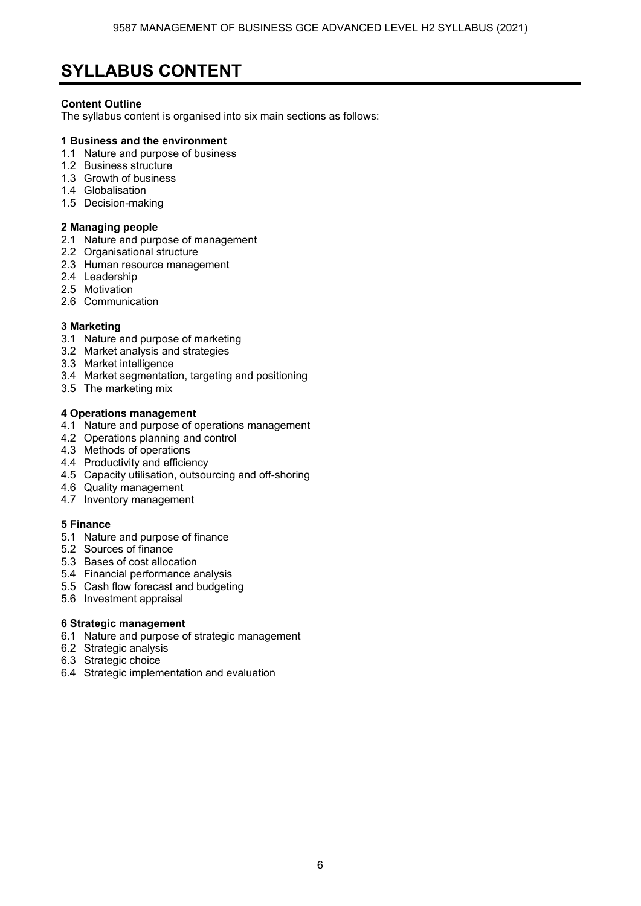### **SYLLABUS CONTENT**

#### **Content Outline**

The syllabus content is organised into six main sections as follows:

#### **1 Business and the environment**

- 1.1 Nature and purpose of business
- 1.2 Business structure
- 1.3 Growth of business
- 1.4 Globalisation
- 1.5 Decision-making

#### **2 Managing people**

- 2.1 Nature and purpose of management
- 2.2 Organisational structure
- 2.3 Human resource management
- 2.4 Leadership
- 2.5 Motivation
- 2.6 Communication

#### **3 Marketing**

- 3.1 Nature and purpose of marketing
- 3.2 Market analysis and strategies
- 3.3 Market intelligence
- 3.4 Market segmentation, targeting and positioning
- 3.5 The marketing mix

#### **4 Operations management**

- 4.1 Nature and purpose of operations management
- 4.2 Operations planning and control
- 4.3 Methods of operations
- 4.4 Productivity and efficiency
- 4.5 Capacity utilisation, outsourcing and off-shoring
- 4.6 Quality management
- 4.7 Inventory management

#### **5 Finance**

- 5.1 Nature and purpose of finance
- 5.2 Sources of finance
- 5.3 Bases of cost allocation
- 5.4 Financial performance analysis
- 5.5 Cash flow forecast and budgeting
- 5.6 Investment appraisal

#### **6 Strategic management**

- 6.1 Nature and purpose of strategic management
- 6.2 Strategic analysis
- 6.3 Strategic choice
- 6.4 Strategic implementation and evaluation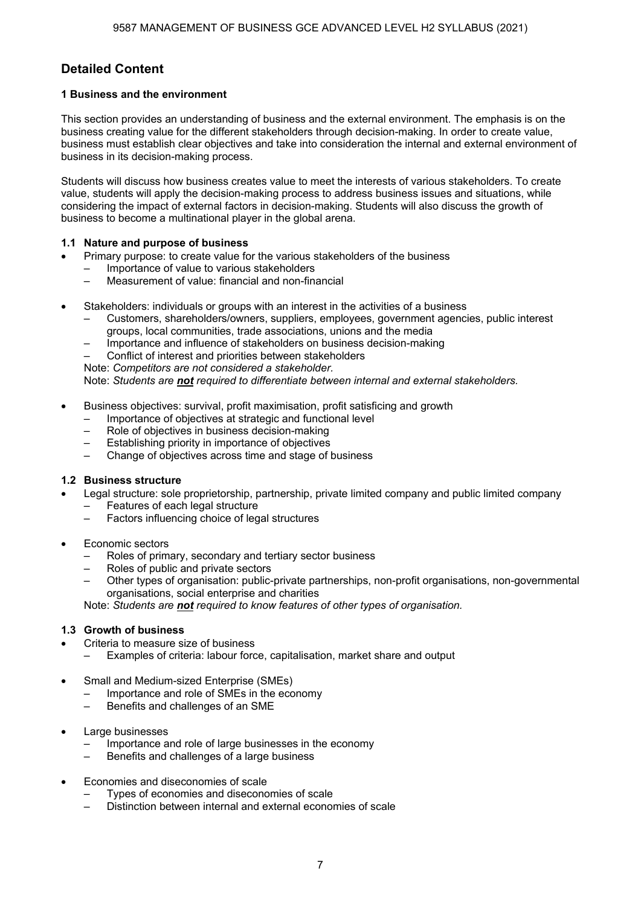### **Detailed Content**

#### **1 Business and the environment**

This section provides an understanding of business and the external environment. The emphasis is on the business creating value for the different stakeholders through decision-making. In order to create value, business must establish clear objectives and take into consideration the internal and external environment of business in its decision-making process.

Students will discuss how business creates value to meet the interests of various stakeholders. To create value, students will apply the decision-making process to address business issues and situations, while considering the impact of external factors in decision-making. Students will also discuss the growth of business to become a multinational player in the global arena.

#### **1.1 Nature and purpose of business**

- Primary purpose: to create value for the various stakeholders of the business
	- Importance of value to various stakeholders
	- Measurement of value: financial and non-financial
- Stakeholders: individuals or groups with an interest in the activities of a business
	- Customers, shareholders/owners, suppliers, employees, government agencies, public interest groups, local communities, trade associations, unions and the media
	- Importance and influence of stakeholders on business decision-making

– Conflict of interest and priorities between stakeholders

Note: *Competitors are not considered a stakeholder.*

Note: *Students are not required to differentiate between internal and external stakeholders.*

- Business objectives: survival, profit maximisation, profit satisficing and growth
	- Importance of objectives at strategic and functional level
	- Role of objectives in business decision-making
	- Establishing priority in importance of objectives
	- Change of objectives across time and stage of business

#### **1.2 Business structure**

- Legal structure: sole proprietorship, partnership, private limited company and public limited company
	- Features of each legal structure
	- Factors influencing choice of legal structures
- Economic sectors
	- Roles of primary, secondary and tertiary sector business
	- Roles of public and private sectors
	- Other types of organisation: public-private partnerships, non-profit organisations, non-governmental organisations, social enterprise and charities

Note: *Students are not required to know features of other types of organisation.*

#### **1.3 Growth of business**

- Criteria to measure size of business
	- Examples of criteria: labour force, capitalisation, market share and output
- Small and Medium-sized Enterprise (SMEs)
	- Importance and role of SMEs in the economy
		- Benefits and challenges of an SME
- Large businesses
	- Importance and role of large businesses in the economy
	- Benefits and challenges of a large business
- Economies and diseconomies of scale
	- Types of economies and diseconomies of scale
	- Distinction between internal and external economies of scale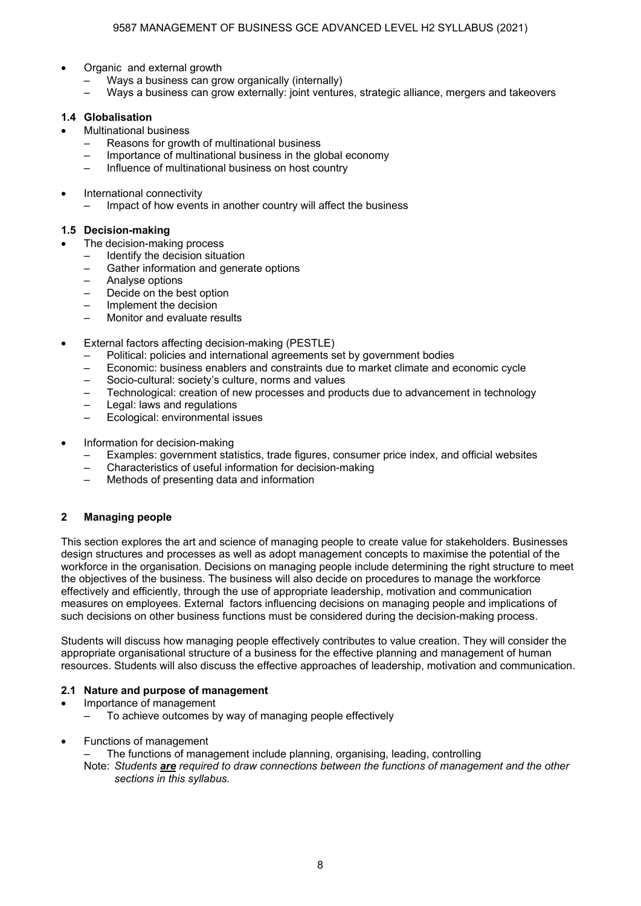- Organic and external growth
	- Ways a business can grow organically (internally)
	- Ways a business can grow externally: joint ventures, strategic alliance, mergers and takeovers

#### **1.4 Globalisation**

- Multinational business
	- Reasons for growth of multinational business
	- Importance of multinational business in the global economy
	- Influence of multinational business on host country
- International connectivity
	- Impact of how events in another country will affect the business

#### **1.5 Decision-making**

- The decision-making process
	- Identify the decision situation
	- Gather information and generate options
	- Analyse options
	- Decide on the best option
	- Implement the decision
	- Monitor and evaluate results
- External factors affecting decision-making (PESTLE)
	- Political: policies and international agreements set by government bodies
	- Economic: business enablers and constraints due to market climate and economic cycle
	- Socio-cultural: society's culture, norms and values
	- Technological: creation of new processes and products due to advancement in technology
	- Legal: laws and regulations
	- Ecological: environmental issues
- Information for decision-making
	- Examples: government statistics, trade figures, consumer price index, and official websites
	- Characteristics of useful information for decision-making
	- Methods of presenting data and information

#### **2 Managing people**

This section explores the art and science of managing people to create value for stakeholders. Businesses design structures and processes as well as adopt management concepts to maximise the potential of the workforce in the organisation. Decisions on managing people include determining the right structure to meet the objectives of the business. The business will also decide on procedures to manage the workforce effectively and efficiently, through the use of appropriate leadership, motivation and communication measures on employees. External factors influencing decisions on managing people and implications of such decisions on other business functions must be considered during the decision-making process.

Students will discuss how managing people effectively contributes to value creation. They will consider the appropriate organisational structure of a business for the effective planning and management of human resources. Students will also discuss the effective approaches of leadership, motivation and communication.

#### **2.1 Nature and purpose of management**

- Importance of management
	- To achieve outcomes by way of managing people effectively
- Functions of management
	- The functions of management include planning, organising, leading, controlling

 Note: *Students are required to draw connections between the functions of management and the other sections in this syllabus.*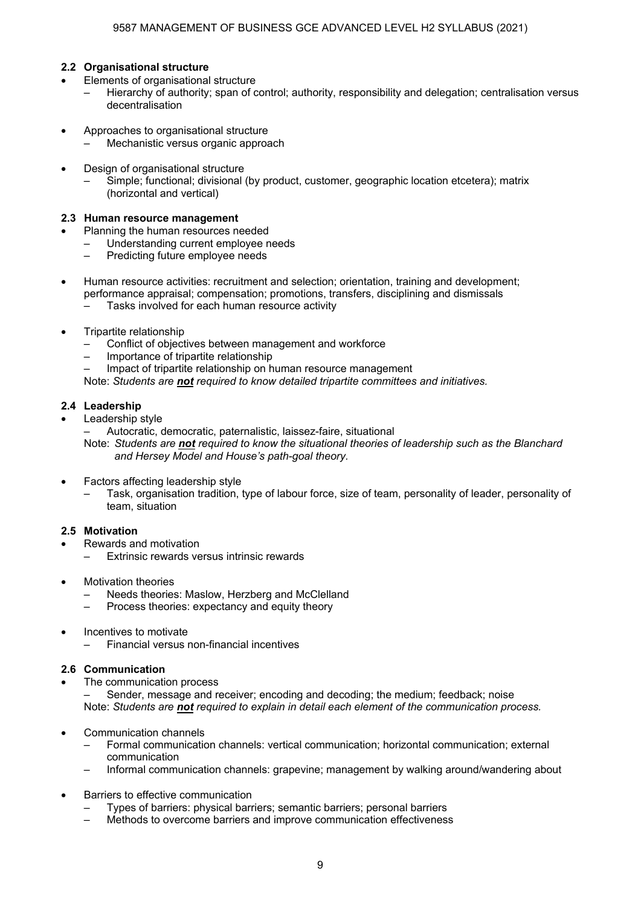#### **2.2 Organisational structure**

- Elements of organisational structure
	- Hierarchy of authority; span of control; authority, responsibility and delegation; centralisation versus decentralisation
- Approaches to organisational structure
	- Mechanistic versus organic approach
- Design of organisational structure

 – Simple; functional; divisional (by product, customer, geographic location etcetera); matrix (horizontal and vertical)

#### **2.3 Human resource management**

- Planning the human resources needed
	- Understanding current employee needs<br>– Predicting future employee needs
	- Predicting future employee needs
- Human resource activities: recruitment and selection; orientation, training and development; performance appraisal; compensation; promotions, transfers, disciplining and dismissals
	- Tasks involved for each human resource activity
- Tripartite relationship
	- Conflict of objectives between management and workforce
	- Importance of tripartite relationship
	- Impact of tripartite relationship on human resource management

Note: *Students are not required to know detailed tripartite committees and initiatives.*

#### **2.4 Leadership**

- Leadership style
	- Autocratic, democratic, paternalistic, laissez-faire, situational

 Note: *Students are not required to know the situational theories of leadership such as the Blanchard and Hersey Model and House's path-goal theory.* 

- Factors affecting leadership style
	- Task, organisation tradition, type of labour force, size of team, personality of leader, personality of team, situation

#### **2.5 Motivation**

- Rewards and motivation
	- Extrinsic rewards versus intrinsic rewards
- Motivation theories
	- Needs theories: Maslow, Herzberg and McClelland
	- Process theories: expectancy and equity theory
- Incentives to motivate
	- Financial versus non-financial incentives

#### **2.6 Communication**

The communication process

 – Sender, message and receiver; encoding and decoding; the medium; feedback; noise Note: *Students are not required to explain in detail each element of the communication process.* 

- Communication channels
	- Formal communication channels: vertical communication; horizontal communication; external communication
	- Informal communication channels: grapevine; management by walking around/wandering about
- Barriers to effective communication
	- Types of barriers: physical barriers; semantic barriers; personal barriers
	- Methods to overcome barriers and improve communication effectiveness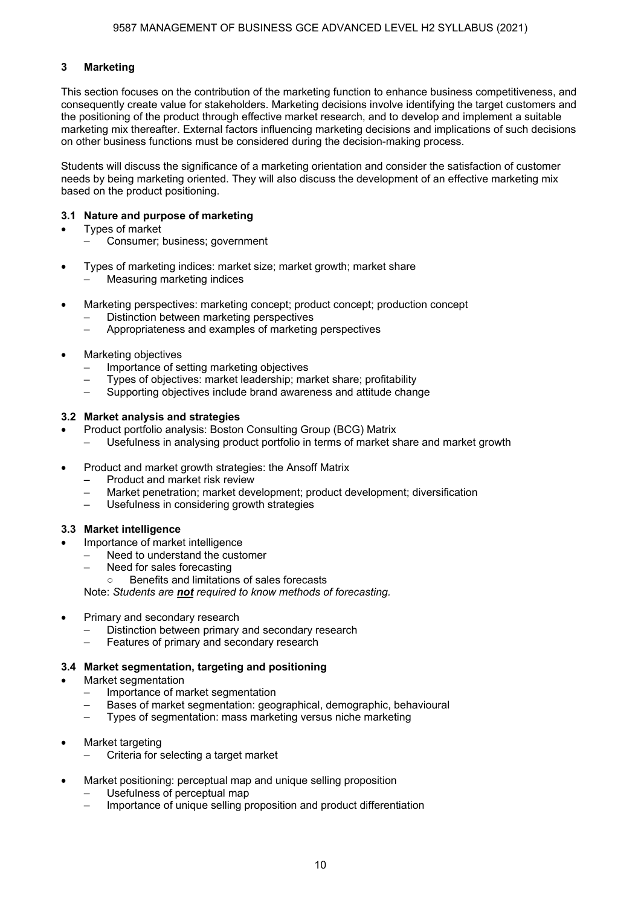#### **3 Marketing**

This section focuses on the contribution of the marketing function to enhance business competitiveness, and consequently create value for stakeholders. Marketing decisions involve identifying the target customers and the positioning of the product through effective market research, and to develop and implement a suitable marketing mix thereafter. External factors influencing marketing decisions and implications of such decisions on other business functions must be considered during the decision-making process.

Students will discuss the significance of a marketing orientation and consider the satisfaction of customer needs by being marketing oriented. They will also discuss the development of an effective marketing mix based on the product positioning.

#### **3.1 Nature and purpose of marketing**

- Types of market
	- Consumer; business; government
- Types of marketing indices: market size; market growth; market share – Measuring marketing indices
- Marketing perspectives: marketing concept; product concept; production concept
	- Distinction between marketing perspectives
	- Appropriateness and examples of marketing perspectives
- Marketing objectives
	- Importance of setting marketing objectives
	- Types of objectives: market leadership; market share; profitability
	- Supporting objectives include brand awareness and attitude change

#### **3.2 Market analysis and strategies**

- Product portfolio analysis: Boston Consulting Group (BCG) Matrix
	- Usefulness in analysing product portfolio in terms of market share and market growth
- Product and market growth strategies: the Ansoff Matrix
	- Product and market risk review
	- Market penetration; market development; product development; diversification
	- Usefulness in considering growth strategies

#### **3.3 Market intelligence**

- Importance of market intelligence
- Need to understand the customer
	- Need for sales forecasting
		- Benefits and limitations of sales forecasts

Note: *Students are not required to know methods of forecasting.*

- Primary and secondary research
	- Distinction between primary and secondary research
	- Features of primary and secondary research

#### **3.4 Market segmentation, targeting and positioning**

- Market segmentation
	- Importance of market segmentation
	- Bases of market segmentation: geographical, demographic, behavioural
	- Types of segmentation: mass marketing versus niche marketing
- Market targeting
	- Criteria for selecting a target market
- Market positioning: perceptual map and unique selling proposition
	- Usefulness of perceptual map
	- Importance of unique selling proposition and product differentiation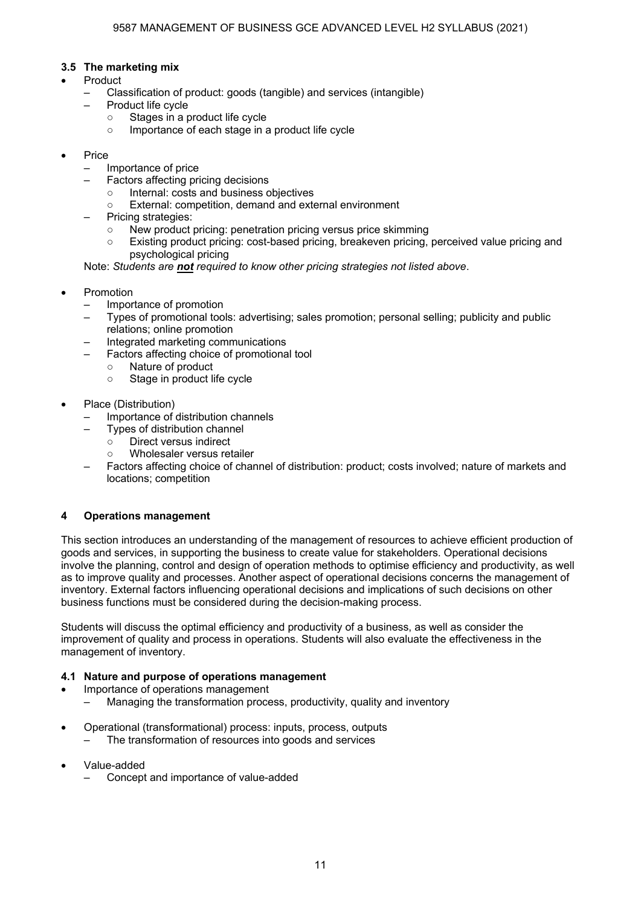#### **3.5 The marketing mix**

- Product
	- Classification of product: goods (tangible) and services (intangible)
	- Product life cycle
		- Stages in a product life cycle
		- Importance of each stage in a product life cycle
- Price
	- Importance of price
	- Factors affecting pricing decisions
		- Internal: costs and business objectives
		- External: competition, demand and external environment
	- Pricing strategies:
		- New product pricing: penetration pricing versus price skimming
		- Existing product pricing: cost-based pricing, breakeven pricing, perceived value pricing and psychological pricing

Note: *Students are not required to know other pricing strategies not listed above*.

- **Promotion** 
	- Importance of promotion
	- Types of promotional tools: advertising; sales promotion; personal selling; publicity and public relations; online promotion
	- Integrated marketing communications
		- Factors affecting choice of promotional tool
			- Nature of product
			- Stage in product life cycle
- Place (Distribution)
	- Importance of distribution channels
		- Types of distribution channel
			- Direct versus indirect
			- Wholesaler versus retailer
	- Factors affecting choice of channel of distribution: product; costs involved; nature of markets and locations; competition

#### **4 Operations management**

This section introduces an understanding of the management of resources to achieve efficient production of goods and services, in supporting the business to create value for stakeholders. Operational decisions involve the planning, control and design of operation methods to optimise efficiency and productivity, as well as to improve quality and processes. Another aspect of operational decisions concerns the management of inventory. External factors influencing operational decisions and implications of such decisions on other business functions must be considered during the decision-making process.

Students will discuss the optimal efficiency and productivity of a business, as well as consider the improvement of quality and process in operations. Students will also evaluate the effectiveness in the management of inventory.

#### **4.1 Nature and purpose of operations management**

- Importance of operations management
	- Managing the transformation process, productivity, quality and inventory
- Operational (transformational) process: inputs, process, outputs
	- The transformation of resources into goods and services
- Value-added
	- Concept and importance of value-added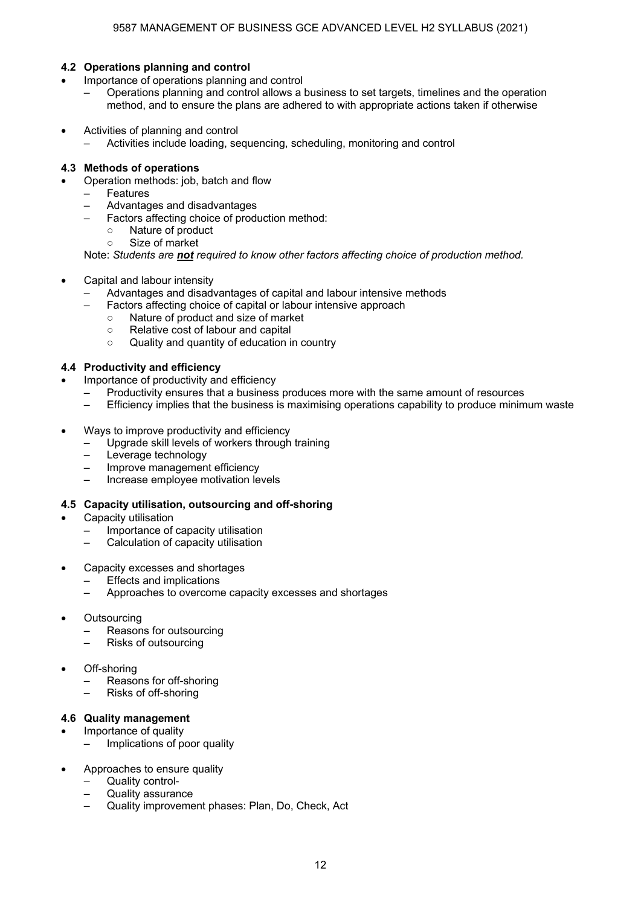#### **4.2 Operations planning and control**

- Importance of operations planning and control
	- Operations planning and control allows a business to set targets, timelines and the operation method, and to ensure the plans are adhered to with appropriate actions taken if otherwise
- Activities of planning and control
	- Activities include loading, sequencing, scheduling, monitoring and control

#### **4.3 Methods of operations**

- Operation methods: job, batch and flow
	- **Features**
	- Advantages and disadvantages
	- Factors affecting choice of production method:
		- Nature of product
		- Size of market

Note: *Students are not required to know other factors affecting choice of production method.* 

- Capital and labour intensity
	- Advantages and disadvantages of capital and labour intensive methods
	- Factors affecting choice of capital or labour intensive approach
		- Nature of product and size of market
		- Relative cost of labour and capital
		- Quality and quantity of education in country

#### **4.4 Productivity and efficiency**

- Importance of productivity and efficiency
	- Productivity ensures that a business produces more with the same amount of resources
	- Efficiency implies that the business is maximising operations capability to produce minimum waste
- Ways to improve productivity and efficiency
	- Upgrade skill levels of workers through training
	- Leverage technology
	- Improve management efficiency
	- Increase employee motivation levels

#### **4.5 Capacity utilisation, outsourcing and off-shoring**

- Capacity utilisation
	- Importance of capacity utilisation
	- Calculation of capacity utilisation
- Capacity excesses and shortages
	- Effects and implications
	- Approaches to overcome capacity excesses and shortages
- **Outsourcing** 
	- Reasons for outsourcing
	- Risks of outsourcing
- Off-shoring
	- Reasons for off-shoring
	- Risks of off-shoring

#### **4.6 Quality management**

- Importance of quality
- Implications of poor quality
- Approaches to ensure quality
	- Quality control-
	- Quality assurance
	- Quality improvement phases: Plan, Do, Check, Act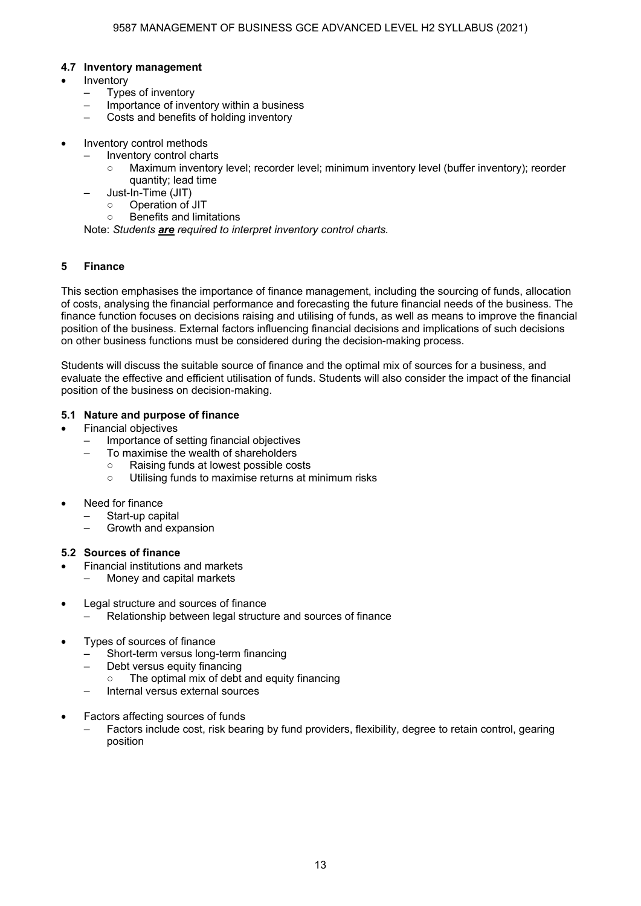#### **4.7 Inventory management**

- **Inventory** 
	- Types of inventory
	- Importance of inventory within a business
	- Costs and benefits of holding inventory
- Inventory control methods
	- Inventory control charts
		- Maximum inventory level; recorder level; minimum inventory level (buffer inventory); reorder quantity; lead time
		- Just-In-Time (JIT)
			- Operation of JIT
			- Benefits and limitations

Note: *Students are required to interpret inventory control charts.*

#### **5 Finance**

This section emphasises the importance of finance management, including the sourcing of funds, allocation of costs, analysing the financial performance and forecasting the future financial needs of the business. The finance function focuses on decisions raising and utilising of funds, as well as means to improve the financial position of the business. External factors influencing financial decisions and implications of such decisions on other business functions must be considered during the decision-making process.

Students will discuss the suitable source of finance and the optimal mix of sources for a business, and evaluate the effective and efficient utilisation of funds. Students will also consider the impact of the financial position of the business on decision-making.

#### **5.1 Nature and purpose of finance**

- Financial objectives
	- Importance of setting financial objectives
		- To maximise the wealth of shareholders
			- Raising funds at lowest possible costs
			- Utilising funds to maximise returns at minimum risks
- Need for finance
	- Start-up capital
	- Growth and expansion

#### **5.2 Sources of finance**

- Financial institutions and markets
	- Money and capital markets
- Legal structure and sources of finance
	- Relationship between legal structure and sources of finance
- Types of sources of finance
	- Short-term versus long-term financing
	- Debt versus equity financing
		- The optimal mix of debt and equity financing
	- Internal versus external sources
- Factors affecting sources of funds
	- Factors include cost, risk bearing by fund providers, flexibility, degree to retain control, gearing position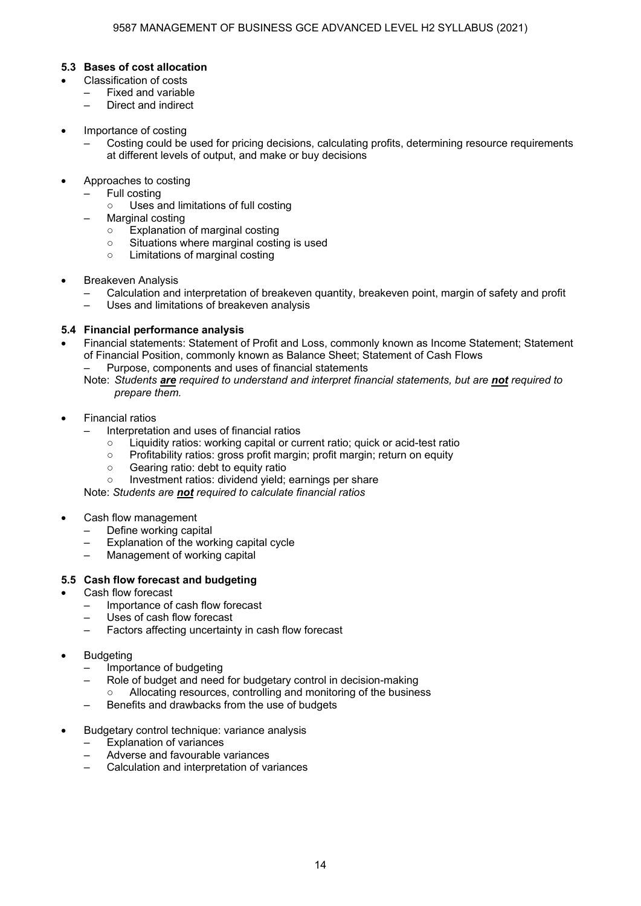#### **5.3 Bases of cost allocation**

- Classification of costs
	- Fixed and variable
	- Direct and indirect
- Importance of costing
	- Costing could be used for pricing decisions, calculating profits, determining resource requirements at different levels of output, and make or buy decisions
- Approaches to costing
	- Full costing
		- Uses and limitations of full costing
		- Marginal costing
			- Explanation of marginal costing
			- Situations where marginal costing is used
			- Limitations of marginal costing
- Breakeven Analysis
	- Calculation and interpretation of breakeven quantity, breakeven point, margin of safety and profit
	- Uses and limitations of breakeven analysis

#### **5.4 Financial performance analysis**

- Financial statements: Statement of Profit and Loss, commonly known as Income Statement; Statement of Financial Position, commonly known as Balance Sheet; Statement of Cash Flows
	- Purpose, components and uses of financial statements
	- Note: *Students are required to understand and interpret financial statements, but are not required to prepare them.*
- Financial ratios
	- Interpretation and uses of financial ratios
		- Liquidity ratios: working capital or current ratio; quick or acid-test ratio
		- Profitability ratios: gross profit margin; profit margin; return on equity
		- Gearing ratio: debt to equity ratio
		- Investment ratios: dividend vield; earnings per share

Note: *Students are not required to calculate financial ratios*

- Cash flow management
	- Define working capital
	- Explanation of the working capital cycle
	- Management of working capital

#### **5.5 Cash flow forecast and budgeting**

- Cash flow forecast
	- Importance of cash flow forecast
	- Uses of cash flow forecast
	- Factors affecting uncertainty in cash flow forecast
- **Budgeting** 
	- Importance of budgeting
	- Role of budget and need for budgetary control in decision-making Allocating resources, controlling and monitoring of the business
	- Benefits and drawbacks from the use of budgets
- Budgetary control technique: variance analysis
	- Explanation of variances
	- Adverse and favourable variances
	- Calculation and interpretation of variances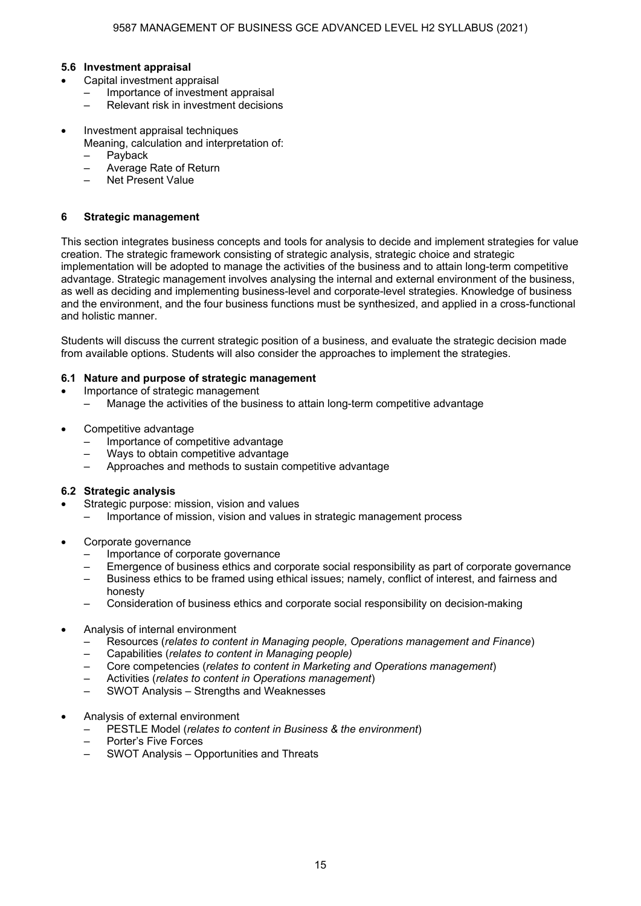#### **5.6 Investment appraisal**

- Capital investment appraisal
	- Importance of investment appraisal
	- Relevant risk in investment decisions
- Investment appraisal techniques
	- Meaning, calculation and interpretation of:
		- Payback
		- Average Rate of Return
		- Net Present Value

#### **6 Strategic management**

This section integrates business concepts and tools for analysis to decide and implement strategies for value creation. The strategic framework consisting of strategic analysis, strategic choice and strategic implementation will be adopted to manage the activities of the business and to attain long-term competitive advantage. Strategic management involves analysing the internal and external environment of the business, as well as deciding and implementing business-level and corporate-level strategies. Knowledge of business and the environment, and the four business functions must be synthesized, and applied in a cross-functional and holistic manner.

Students will discuss the current strategic position of a business, and evaluate the strategic decision made from available options. Students will also consider the approaches to implement the strategies.

#### **6.1 Nature and purpose of strategic management**

- Importance of strategic management
- Manage the activities of the business to attain long-term competitive advantage
- Competitive advantage
	- Importance of competitive advantage
	- Ways to obtain competitive advantage
	- Approaches and methods to sustain competitive advantage

#### **6.2 Strategic analysis**

- Strategic purpose: mission, vision and values
	- Importance of mission, vision and values in strategic management process
- Corporate governance
	- Importance of corporate governance
	- Emergence of business ethics and corporate social responsibility as part of corporate governance
	- Business ethics to be framed using ethical issues; namely, conflict of interest, and fairness and honesty
	- Consideration of business ethics and corporate social responsibility on decision-making
- Analysis of internal environment
	- Resources (*relates to content in Managing people, Operations management and Finance*)
	- Capabilities (*relates to content in Managing people)*
	- Core competencies (*relates to content in Marketing and Operations management*)
	- Activities (*relates to content in Operations management*)
	- SWOT Analysis Strengths and Weaknesses
- Analysis of external environment
	- PESTLE Model (*relates to content in Business & the environment*)
	- Porter's Five Forces
	- SWOT Analysis Opportunities and Threats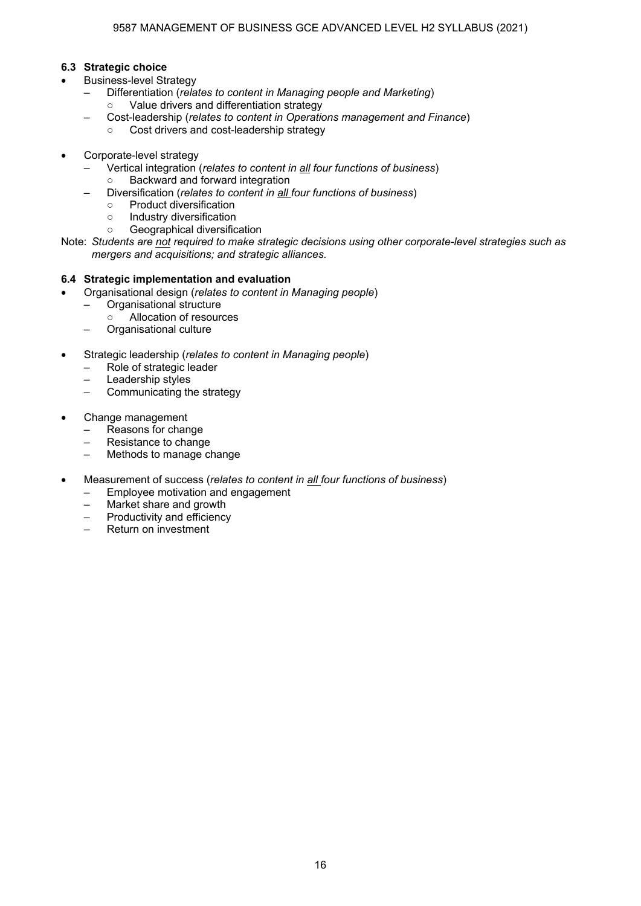#### **6.3 Strategic choice**

- Business-level Strategy
	- Differentiation (*relates to content in Managing people and Marketing*) ○ Value drivers and differentiation strategy
		- Cost-leadership (*relates to content in Operations management and Finance*)
			- Cost drivers and cost-leadership strategy
- Corporate-level strategy
	- Vertical integration (*relates to content in all four functions of business*)
		- Backward and forward integration
	- Diversification (*relates to content in all four functions of business*)
		- Product diversification
		- Industry diversification
		- Geographical diversification
- Note: *Students are not required to make strategic decisions using other corporate-level strategies such as mergers and acquisitions; and strategic alliances.*

#### **6.4 Strategic implementation and evaluation**

- Organisational design (*relates to content in Managing people*)
	- Organisational structure
	- Allocation of resources
	- Organisational culture
- Strategic leadership (*relates to content in Managing people*)
	- Role of strategic leader
	- Leadership styles
	- Communicating the strategy
- Change management
	- Reasons for change
	- Resistance to change
	- Methods to manage change
- Measurement of success (*relates to content in all four functions of business*)
	- Employee motivation and engagement
	- Market share and growth
	- Productivity and efficiency
	- Return on investment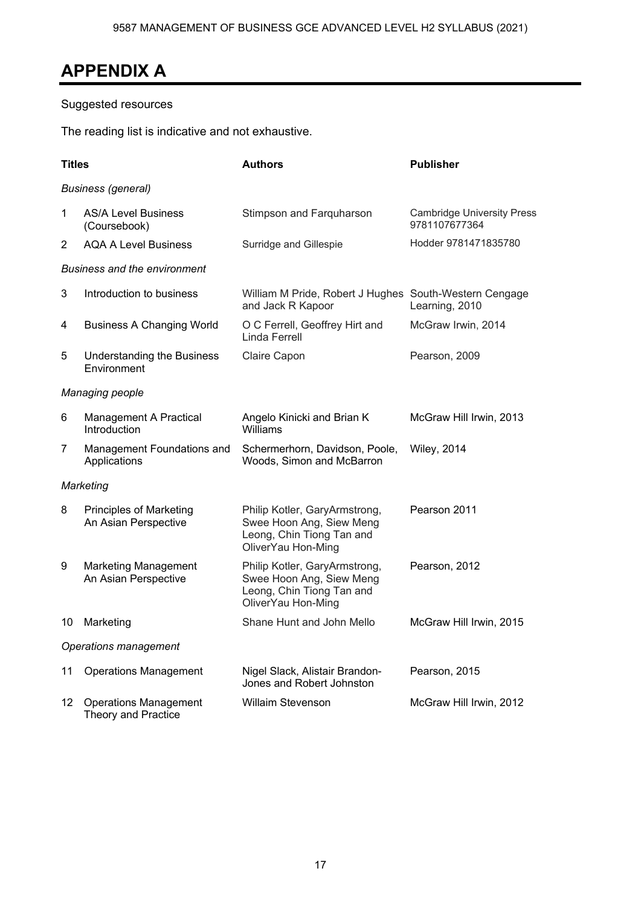## **APPENDIX A**

### Suggested resources

The reading list is indicative and not exhaustive.

| <b>Titles</b>          |                                                            | <b>Authors</b>                                                                                               | <b>Publisher</b>                                   |  |  |
|------------------------|------------------------------------------------------------|--------------------------------------------------------------------------------------------------------------|----------------------------------------------------|--|--|
|                        | <b>Business (general)</b>                                  |                                                                                                              |                                                    |  |  |
| 1                      | <b>AS/A Level Business</b><br>(Coursebook)                 | Stimpson and Farquharson                                                                                     | <b>Cambridge University Press</b><br>9781107677364 |  |  |
| 2                      | <b>AQA A Level Business</b>                                | Surridge and Gillespie                                                                                       | Hodder 9781471835780                               |  |  |
|                        | <b>Business and the environment</b>                        |                                                                                                              |                                                    |  |  |
| 3                      | Introduction to business                                   | William M Pride, Robert J Hughes South-Western Cengage<br>and Jack R Kapoor                                  | Learning, 2010                                     |  |  |
| 4                      | <b>Business A Changing World</b>                           | O C Ferrell, Geoffrey Hirt and<br>Linda Ferrell                                                              | McGraw Irwin, 2014                                 |  |  |
| 5                      | Understanding the Business<br>Environment                  | Claire Capon                                                                                                 | Pearson, 2009                                      |  |  |
| <b>Managing people</b> |                                                            |                                                                                                              |                                                    |  |  |
| 6                      | <b>Management A Practical</b><br>Introduction              | Angelo Kinicki and Brian K<br>Williams                                                                       | McGraw Hill Irwin, 2013                            |  |  |
| 7                      | Management Foundations and<br>Applications                 | Schermerhorn, Davidson, Poole,<br>Woods, Simon and McBarron                                                  | <b>Wiley, 2014</b>                                 |  |  |
|                        | Marketing                                                  |                                                                                                              |                                                    |  |  |
| 8                      | <b>Principles of Marketing</b><br>An Asian Perspective     | Philip Kotler, GaryArmstrong,<br>Swee Hoon Ang, Siew Meng<br>Leong, Chin Tiong Tan and<br>OliverYau Hon-Ming | Pearson 2011                                       |  |  |
| 9                      | <b>Marketing Management</b><br>An Asian Perspective        | Philip Kotler, GaryArmstrong,<br>Swee Hoon Ang, Siew Meng<br>Leong, Chin Tiong Tan and<br>OliverYau Hon-Ming | Pearson, 2012                                      |  |  |
| 10                     | Marketing                                                  | Shane Hunt and John Mello                                                                                    | McGraw Hill Irwin, 2015                            |  |  |
| Operations management  |                                                            |                                                                                                              |                                                    |  |  |
| 11                     | <b>Operations Management</b>                               | Nigel Slack, Alistair Brandon-<br>Jones and Robert Johnston                                                  | Pearson, 2015                                      |  |  |
| 12 <sup>°</sup>        | <b>Operations Management</b><br><b>Theory and Practice</b> | <b>Willaim Stevenson</b>                                                                                     | McGraw Hill Irwin, 2012                            |  |  |